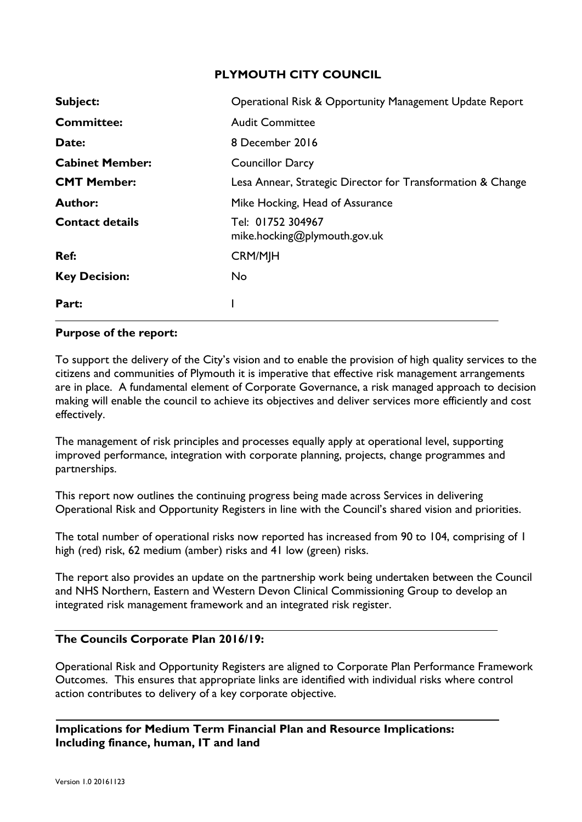# **PLYMOUTH CITY COUNCIL**

| Subject:               | Operational Risk & Opportunity Management Update Report     |
|------------------------|-------------------------------------------------------------|
| <b>Committee:</b>      | <b>Audit Committee</b>                                      |
| Date:                  | 8 December 2016                                             |
| <b>Cabinet Member:</b> | <b>Councillor Darcy</b>                                     |
| <b>CMT Member:</b>     | Lesa Annear, Strategic Director for Transformation & Change |
| <b>Author:</b>         | Mike Hocking, Head of Assurance                             |
| <b>Contact details</b> | Tel: 01752 304967<br>mike.hocking@plymouth.gov.uk           |
| Ref:                   | <b>CRM/MJH</b>                                              |
| <b>Key Decision:</b>   | <b>No</b>                                                   |
| Part:                  |                                                             |

## **Purpose of the report:**

To support the delivery of the City's vision and to enable the provision of high quality services to the citizens and communities of Plymouth it is imperative that effective risk management arrangements are in place. A fundamental element of Corporate Governance, a risk managed approach to decision making will enable the council to achieve its objectives and deliver services more efficiently and cost effectively.

The management of risk principles and processes equally apply at operational level, supporting improved performance, integration with corporate planning, projects, change programmes and partnerships.

This report now outlines the continuing progress being made across Services in delivering Operational Risk and Opportunity Registers in line with the Council's shared vision and priorities.

The total number of operational risks now reported has increased from 90 to 104, comprising of 1 high (red) risk, 62 medium (amber) risks and 41 low (green) risks.

The report also provides an update on the partnership work being undertaken between the Council and NHS Northern, Eastern and Western Devon Clinical Commissioning Group to develop an integrated risk management framework and an integrated risk register.

## **The Councils Corporate Plan 2016/19:**

Operational Risk and Opportunity Registers are aligned to Corporate Plan Performance Framework Outcomes. This ensures that appropriate links are identified with individual risks where control action contributes to delivery of a key corporate objective.

**Implications for Medium Term Financial Plan and Resource Implications: Including finance, human, IT and land**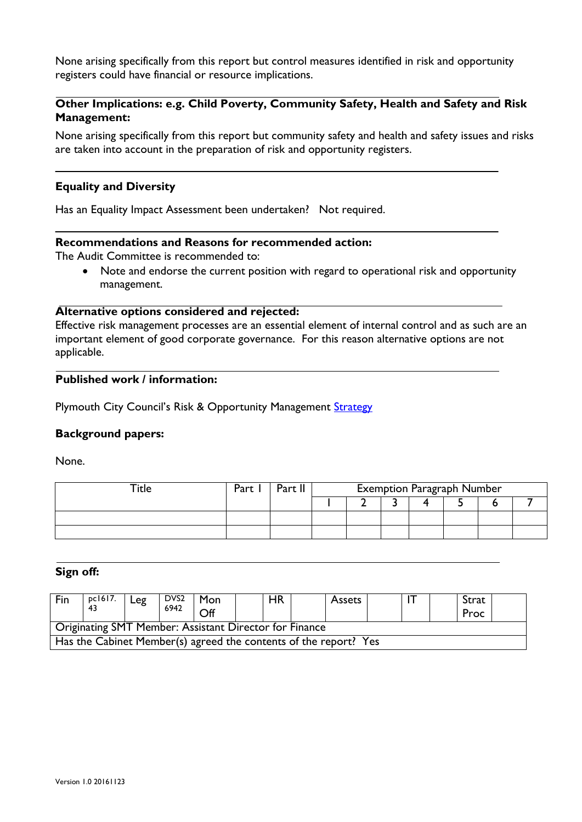None arising specifically from this report but control measures identified in risk and opportunity registers could have financial or resource implications.

# **Other Implications: e.g. Child Poverty, Community Safety, Health and Safety and Risk Management:**

None arising specifically from this report but community safety and health and safety issues and risks are taken into account in the preparation of risk and opportunity registers.

#### **Equality and Diversity**

Has an Equality Impact Assessment been undertaken? Not required.

## **Recommendations and Reasons for recommended action:**

The Audit Committee is recommended to:

• Note and endorse the current position with regard to operational risk and opportunity management.

#### **Alternative options considered and rejected:**

Effective risk management processes are an essential element of internal control and as such are an important element of good corporate governance. For this reason alternative options are not applicable.

# **Published work / information:**

Plymouth City Council's Risk & Opportunity Management Strategy

## **Background papers:**

None.

|  | Part | Part II | <b>Exemption Paragraph Number</b> |  |  |  |  |  |
|--|------|---------|-----------------------------------|--|--|--|--|--|
|  |      |         |                                   |  |  |  |  |  |
|  |      |         |                                   |  |  |  |  |  |
|  |      |         |                                   |  |  |  |  |  |

#### **Sign off:**

| Fin                                                              | pc1617.<br>43 | Leg | DVS <sub>2</sub><br>6942 | Mon<br>Off |  | HR |  | <b>Assets</b> |  |  |  | Strat<br>Proc |  |
|------------------------------------------------------------------|---------------|-----|--------------------------|------------|--|----|--|---------------|--|--|--|---------------|--|
| Originating SMT Member: Assistant Director for Finance           |               |     |                          |            |  |    |  |               |  |  |  |               |  |
| Has the Cabinet Member(s) agreed the contents of the report? Yes |               |     |                          |            |  |    |  |               |  |  |  |               |  |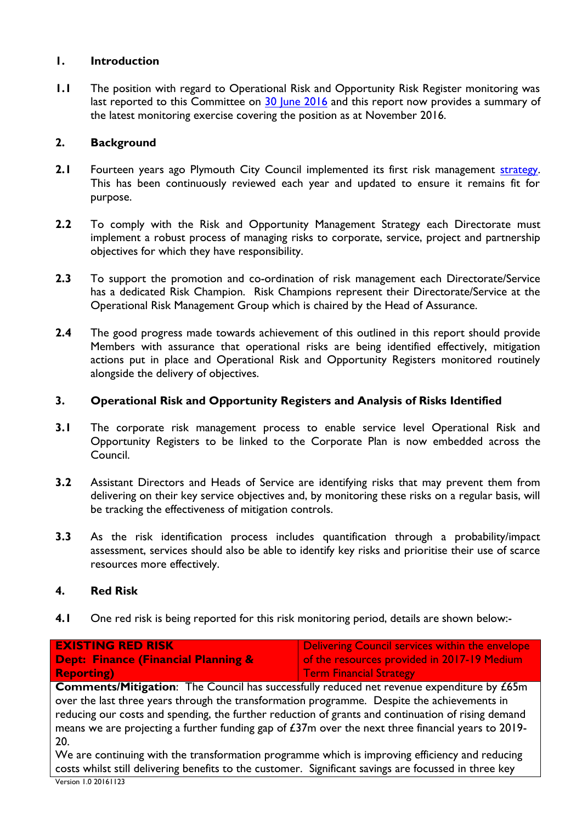# **1. Introduction**

**1.1** The position with regard to Operational Risk and Opportunity Risk Register monitoring was last reported to this Committee on [30 June 2016](http://web.plymouth.gov.uk/modgov?modgovlink=http%3A%2F%2Fdemocracy.plymouth.gov.uk%2FieListDocuments.aspx%3FCId%3D249%26amp%3BMId%3D6879%26amp%3BVer%3D4) and this report now provides a summary of the latest monitoring exercise covering the position as at November 2016.

# **2. Background**

- **2.1** Fourteen years ago Plymouth City Council implemented its first risk management [strategy.](http://documentlibrary.plymcc.local/documents/risk_and_opportunity_management_strategy.pdf) This has been continuously reviewed each year and updated to ensure it remains fit for purpose.
- **2.2** To comply with the Risk and Opportunity Management Strategy each Directorate must implement a robust process of managing risks to corporate, service, project and partnership objectives for which they have responsibility.
- **2.3** To support the promotion and co-ordination of risk management each Directorate/Service has a dedicated Risk Champion. Risk Champions represent their Directorate/Service at the Operational Risk Management Group which is chaired by the Head of Assurance.
- **2.4** The good progress made towards achievement of this outlined in this report should provide Members with assurance that operational risks are being identified effectively, mitigation actions put in place and Operational Risk and Opportunity Registers monitored routinely alongside the delivery of objectives.

## **3. Operational Risk and Opportunity Registers and Analysis of Risks Identified**

- **3.1** The corporate risk management process to enable service level Operational Risk and Opportunity Registers to be linked to the Corporate Plan is now embedded across the Council.
- **3.2** Assistant Directors and Heads of Service are identifying risks that may prevent them from delivering on their key service objectives and, by monitoring these risks on a regular basis, will be tracking the effectiveness of mitigation controls.
- **3.3** As the risk identification process includes quantification through a probability/impact assessment, services should also be able to identify key risks and prioritise their use of scarce resources more effectively.

## **4. Red Risk**

**4.1** One red risk is being reported for this risk monitoring period, details are shown below:-

| <b>EXISTING RED RISK</b>                       | Delivering Council services within the envelope |
|------------------------------------------------|-------------------------------------------------|
| <b>Dept: Finance (Financial Planning &amp;</b> | of the resources provided in 2017-19 Medium     |
| <b>Reporting</b> )                             | <b>Term Financial Strategy</b>                  |
|                                                |                                                 |

**Comments/Mitigation**: The Council has successfully reduced net revenue expenditure by £65m over the last three years through the transformation programme. Despite the achievements in reducing our costs and spending, the further reduction of grants and continuation of rising demand means we are projecting a further funding gap of £37m over the next three financial years to 2019- 20.

We are continuing with the transformation programme which is improving efficiency and reducing costs whilst still delivering benefits to the customer. Significant savings are focussed in three key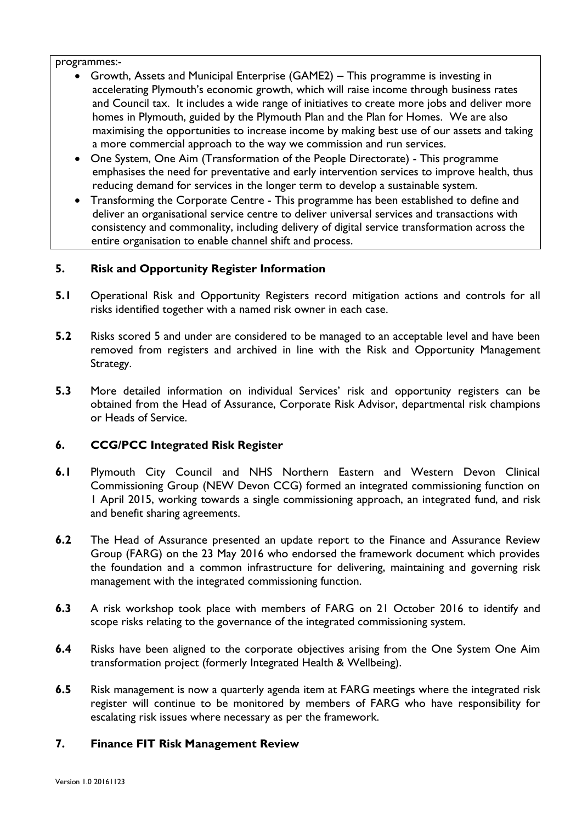programmes:-

- Growth, Assets and Municipal Enterprise (GAME2) This programme is investing in accelerating Plymouth's economic growth, which will raise income through business rates and Council tax. It includes a wide range of initiatives to create more jobs and deliver more homes in Plymouth, guided by the Plymouth Plan and the Plan for Homes. We are also maximising the opportunities to increase income by making best use of our assets and taking a more commercial approach to the way we commission and run services.
- One System, One Aim (Transformation of the People Directorate) This programme emphasises the need for preventative and early intervention services to improve health, thus reducing demand for services in the longer term to develop a sustainable system.
- Transforming the Corporate Centre This programme has been established to define and deliver an organisational service centre to deliver universal services and transactions with consistency and commonality, including delivery of digital service transformation across the entire organisation to enable channel shift and process.

# **5. Risk and Opportunity Register Information**

- **5.1** Operational Risk and Opportunity Registers record mitigation actions and controls for all risks identified together with a named risk owner in each case.
- **5.2** Risks scored 5 and under are considered to be managed to an acceptable level and have been removed from registers and archived in line with the Risk and Opportunity Management Strategy.
- **5.3** More detailed information on individual Services' risk and opportunity registers can be obtained from the Head of Assurance, Corporate Risk Advisor, departmental risk champions or Heads of Service.

# **6. CCG/PCC Integrated Risk Register**

- **6.1** Plymouth City Council and NHS Northern Eastern and Western Devon Clinical Commissioning Group (NEW Devon CCG) formed an integrated commissioning function on 1 April 2015, working towards a single commissioning approach, an integrated fund, and risk and benefit sharing agreements.
- **6.2** The Head of Assurance presented an update report to the Finance and Assurance Review Group (FARG) on the 23 May 2016 who endorsed the framework document which provides the foundation and a common infrastructure for delivering, maintaining and governing risk management with the integrated commissioning function.
- **6.3** A risk workshop took place with members of FARG on 21 October 2016 to identify and scope risks relating to the governance of the integrated commissioning system.
- **6.4** Risks have been aligned to the corporate objectives arising from the One System One Aim transformation project (formerly Integrated Health & Wellbeing).
- **6.5** Risk management is now a quarterly agenda item at FARG meetings where the integrated risk register will continue to be monitored by members of FARG who have responsibility for escalating risk issues where necessary as per the framework.

# **7. Finance FIT Risk Management Review**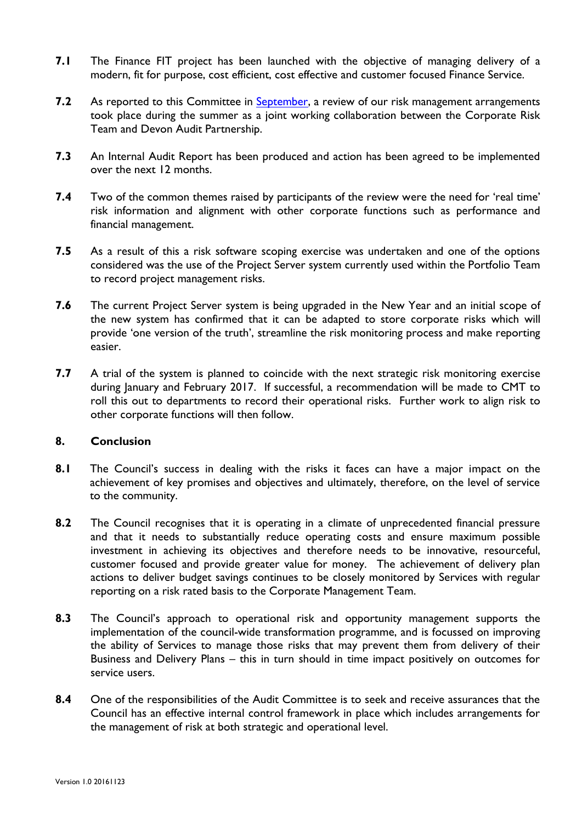- **7.1** The Finance FIT project has been launched with the objective of managing delivery of a modern, fit for purpose, cost efficient, cost effective and customer focused Finance Service.
- **7.2** As reported to this Committee in [September,](http://web.plymouth.gov.uk/modgov?modgovlink=http%3A%2F%2Fdemocracy.plymouth.gov.uk%2FieListDocuments.aspx%3FCId%3D249%26amp%3BMId%3D7190%26amp%3BVer%3D4) a review of our risk management arrangements took place during the summer as a joint working collaboration between the Corporate Risk Team and Devon Audit Partnership.
- **7.3** An Internal Audit Report has been produced and action has been agreed to be implemented over the next 12 months.
- **7.4** Two of the common themes raised by participants of the review were the need for 'real time' risk information and alignment with other corporate functions such as performance and financial management.
- **7.5** As a result of this a risk software scoping exercise was undertaken and one of the options considered was the use of the Project Server system currently used within the Portfolio Team to record project management risks.
- **7.6** The current Project Server system is being upgraded in the New Year and an initial scope of the new system has confirmed that it can be adapted to store corporate risks which will provide 'one version of the truth', streamline the risk monitoring process and make reporting easier.
- **7.7** A trial of the system is planned to coincide with the next strategic risk monitoring exercise during January and February 2017. If successful, a recommendation will be made to CMT to roll this out to departments to record their operational risks. Further work to align risk to other corporate functions will then follow.

## **8. Conclusion**

- **8.1** The Council's success in dealing with the risks it faces can have a major impact on the achievement of key promises and objectives and ultimately, therefore, on the level of service to the community.
- **8.2** The Council recognises that it is operating in a climate of unprecedented financial pressure and that it needs to substantially reduce operating costs and ensure maximum possible investment in achieving its objectives and therefore needs to be innovative, resourceful, customer focused and provide greater value for money. The achievement of delivery plan actions to deliver budget savings continues to be closely monitored by Services with regular reporting on a risk rated basis to the Corporate Management Team.
- **8.3** The Council's approach to operational risk and opportunity management supports the implementation of the council-wide transformation programme, and is focussed on improving the ability of Services to manage those risks that may prevent them from delivery of their Business and Delivery Plans – this in turn should in time impact positively on outcomes for service users.
- **8.4** One of the responsibilities of the Audit Committee is to seek and receive assurances that the Council has an effective internal control framework in place which includes arrangements for the management of risk at both strategic and operational level.